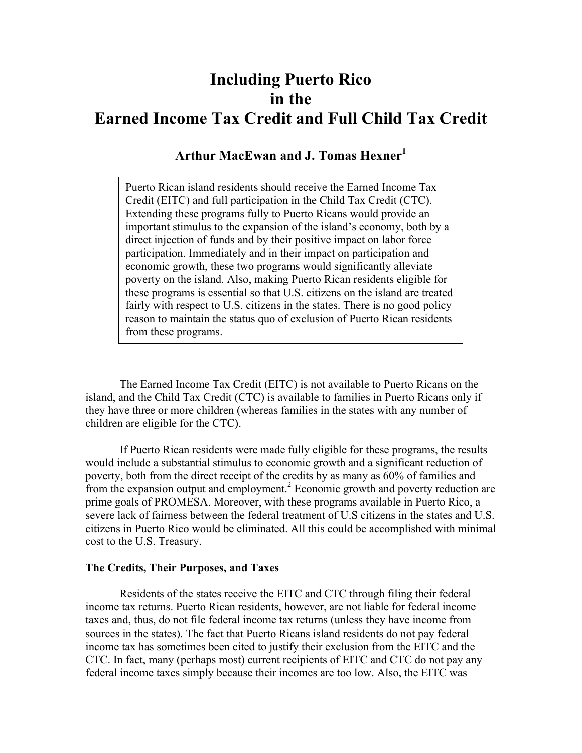# **Including Puerto Rico in the Earned Income Tax Credit and Full Child Tax Credit**

## Arthur MacEwan and **J. Tomas Hexner**<sup>1</sup>

Puerto Rican island residents should receive the Earned Income Tax Credit (EITC) and full participation in the Child Tax Credit (CTC). Extending these programs fully to Puerto Ricans would provide an important stimulus to the expansion of the island's economy, both by a direct injection of funds and by their positive impact on labor force participation. Immediately and in their impact on participation and economic growth, these two programs would significantly alleviate poverty on the island. Also, making Puerto Rican residents eligible for these programs is essential so that U.S. citizens on the island are treated fairly with respect to U.S. citizens in the states. There is no good policy reason to maintain the status quo of exclusion of Puerto Rican residents from these programs.

The Earned Income Tax Credit (EITC) is not available to Puerto Ricans on the island, and the Child Tax Credit (CTC) is available to families in Puerto Ricans only if they have three or more children (whereas families in the states with any number of children are eligible for the CTC).

If Puerto Rican residents were made fully eligible for these programs, the results would include a substantial stimulus to economic growth and a significant reduction of poverty, both from the direct receipt of the credits by as many as 60% of families and from the expansion output and employment.<sup>2</sup> Economic growth and poverty reduction are prime goals of PROMESA. Moreover, with these programs available in Puerto Rico, a severe lack of fairness between the federal treatment of U.S citizens in the states and U.S. citizens in Puerto Rico would be eliminated. All this could be accomplished with minimal cost to the U.S. Treasury.

### **The Credits, Their Purposes, and Taxes**

Residents of the states receive the EITC and CTC through filing their federal income tax returns. Puerto Rican residents, however, are not liable for federal income taxes and, thus, do not file federal income tax returns (unless they have income from sources in the states). The fact that Puerto Ricans island residents do not pay federal income tax has sometimes been cited to justify their exclusion from the EITC and the CTC. In fact, many (perhaps most) current recipients of EITC and CTC do not pay any federal income taxes simply because their incomes are too low. Also, the EITC was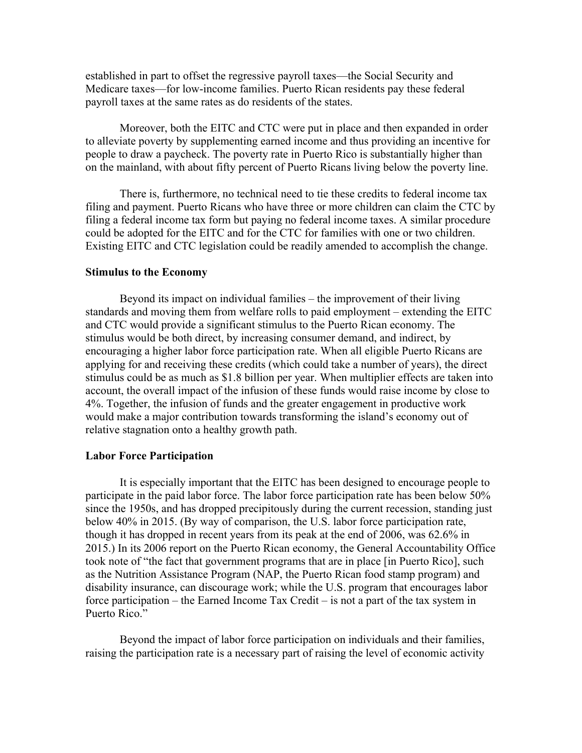established in part to offset the regressive payroll taxes—the Social Security and Medicare taxes—for low-income families. Puerto Rican residents pay these federal payroll taxes at the same rates as do residents of the states.

Moreover, both the EITC and CTC were put in place and then expanded in order to alleviate poverty by supplementing earned income and thus providing an incentive for people to draw a paycheck. The poverty rate in Puerto Rico is substantially higher than on the mainland, with about fifty percent of Puerto Ricans living below the poverty line.

There is, furthermore, no technical need to tie these credits to federal income tax filing and payment. Puerto Ricans who have three or more children can claim the CTC by filing a federal income tax form but paying no federal income taxes. A similar procedure could be adopted for the EITC and for the CTC for families with one or two children. Existing EITC and CTC legislation could be readily amended to accomplish the change.

#### **Stimulus to the Economy**

Beyond its impact on individual families – the improvement of their living standards and moving them from welfare rolls to paid employment – extending the EITC and CTC would provide a significant stimulus to the Puerto Rican economy. The stimulus would be both direct, by increasing consumer demand, and indirect, by encouraging a higher labor force participation rate. When all eligible Puerto Ricans are applying for and receiving these credits (which could take a number of years), the direct stimulus could be as much as \$1.8 billion per year. When multiplier effects are taken into account, the overall impact of the infusion of these funds would raise income by close to 4%. Together, the infusion of funds and the greater engagement in productive work would make a major contribution towards transforming the island's economy out of relative stagnation onto a healthy growth path.

#### **Labor Force Participation**

It is especially important that the EITC has been designed to encourage people to participate in the paid labor force. The labor force participation rate has been below 50% since the 1950s, and has dropped precipitously during the current recession, standing just below 40% in 2015. (By way of comparison, the U.S. labor force participation rate, though it has dropped in recent years from its peak at the end of 2006, was 62.6% in 2015.) In its 2006 report on the Puerto Rican economy, the General Accountability Office took note of "the fact that government programs that are in place [in Puerto Rico], such as the Nutrition Assistance Program (NAP, the Puerto Rican food stamp program) and disability insurance, can discourage work; while the U.S. program that encourages labor force participation – the Earned Income Tax Credit – is not a part of the tax system in Puerto Rico."

Beyond the impact of labor force participation on individuals and their families, raising the participation rate is a necessary part of raising the level of economic activity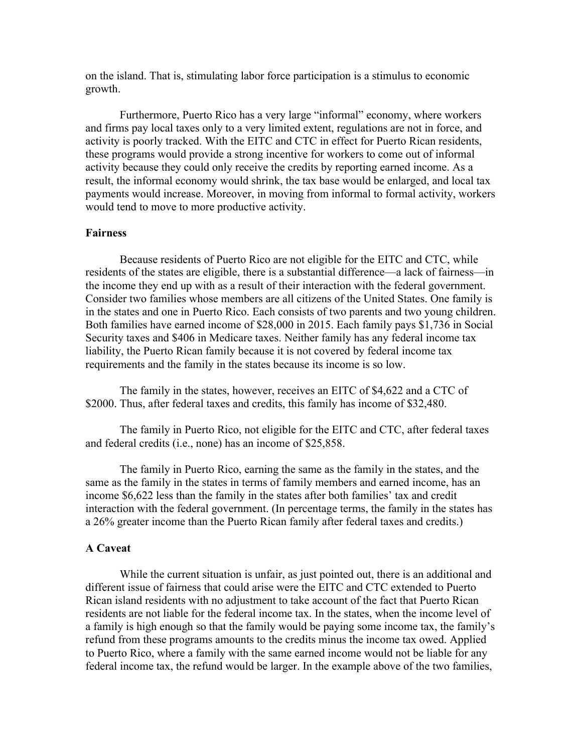on the island. That is, stimulating labor force participation is a stimulus to economic growth.

Furthermore, Puerto Rico has a very large "informal" economy, where workers and firms pay local taxes only to a very limited extent, regulations are not in force, and activity is poorly tracked. With the EITC and CTC in effect for Puerto Rican residents, these programs would provide a strong incentive for workers to come out of informal activity because they could only receive the credits by reporting earned income. As a result, the informal economy would shrink, the tax base would be enlarged, and local tax payments would increase. Moreover, in moving from informal to formal activity, workers would tend to move to more productive activity.

## **Fairness**

Because residents of Puerto Rico are not eligible for the EITC and CTC, while residents of the states are eligible, there is a substantial difference—a lack of fairness—in the income they end up with as a result of their interaction with the federal government. Consider two families whose members are all citizens of the United States. One family is in the states and one in Puerto Rico. Each consists of two parents and two young children. Both families have earned income of \$28,000 in 2015. Each family pays \$1,736 in Social Security taxes and \$406 in Medicare taxes. Neither family has any federal income tax liability, the Puerto Rican family because it is not covered by federal income tax requirements and the family in the states because its income is so low.

The family in the states, however, receives an EITC of \$4,622 and a CTC of \$2000. Thus, after federal taxes and credits, this family has income of \$32,480.

The family in Puerto Rico, not eligible for the EITC and CTC, after federal taxes and federal credits (i.e., none) has an income of \$25,858.

The family in Puerto Rico, earning the same as the family in the states, and the same as the family in the states in terms of family members and earned income, has an income \$6,622 less than the family in the states after both families' tax and credit interaction with the federal government. (In percentage terms, the family in the states has a 26% greater income than the Puerto Rican family after federal taxes and credits.)

## **A Caveat**

While the current situation is unfair, as just pointed out, there is an additional and different issue of fairness that could arise were the EITC and CTC extended to Puerto Rican island residents with no adjustment to take account of the fact that Puerto Rican residents are not liable for the federal income tax. In the states, when the income level of a family is high enough so that the family would be paying some income tax, the family's refund from these programs amounts to the credits minus the income tax owed. Applied to Puerto Rico, where a family with the same earned income would not be liable for any federal income tax, the refund would be larger. In the example above of the two families,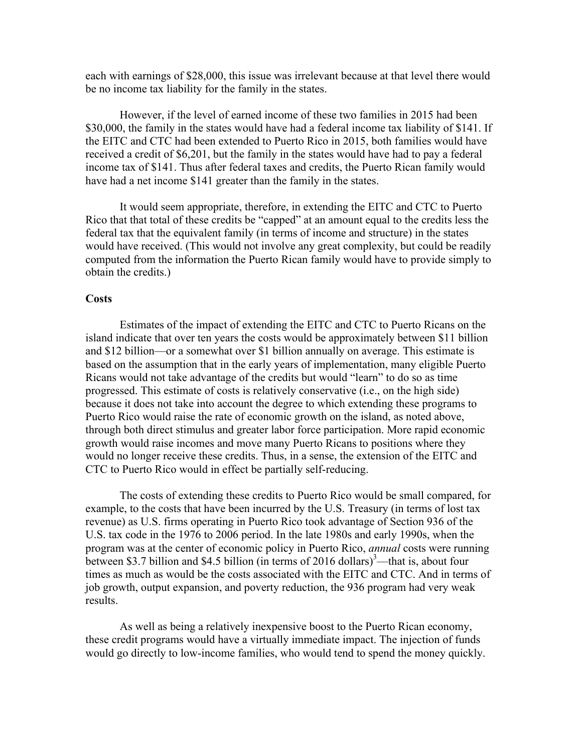each with earnings of \$28,000, this issue was irrelevant because at that level there would be no income tax liability for the family in the states.

However, if the level of earned income of these two families in 2015 had been \$30,000, the family in the states would have had a federal income tax liability of \$141. If the EITC and CTC had been extended to Puerto Rico in 2015, both families would have received a credit of \$6,201, but the family in the states would have had to pay a federal income tax of \$141. Thus after federal taxes and credits, the Puerto Rican family would have had a net income \$141 greater than the family in the states.

It would seem appropriate, therefore, in extending the EITC and CTC to Puerto Rico that that total of these credits be "capped" at an amount equal to the credits less the federal tax that the equivalent family (in terms of income and structure) in the states would have received. (This would not involve any great complexity, but could be readily computed from the information the Puerto Rican family would have to provide simply to obtain the credits.)

### **Costs**

Estimates of the impact of extending the EITC and CTC to Puerto Ricans on the island indicate that over ten years the costs would be approximately between \$11 billion and \$12 billion—or a somewhat over \$1 billion annually on average. This estimate is based on the assumption that in the early years of implementation, many eligible Puerto Ricans would not take advantage of the credits but would "learn" to do so as time progressed. This estimate of costs is relatively conservative (i.e., on the high side) because it does not take into account the degree to which extending these programs to Puerto Rico would raise the rate of economic growth on the island, as noted above, through both direct stimulus and greater labor force participation. More rapid economic growth would raise incomes and move many Puerto Ricans to positions where they would no longer receive these credits. Thus, in a sense, the extension of the EITC and CTC to Puerto Rico would in effect be partially self-reducing.

The costs of extending these credits to Puerto Rico would be small compared, for example, to the costs that have been incurred by the U.S. Treasury (in terms of lost tax revenue) as U.S. firms operating in Puerto Rico took advantage of Section 936 of the U.S. tax code in the 1976 to 2006 period. In the late 1980s and early 1990s, when the program was at the center of economic policy in Puerto Rico, *annual* costs were running between \$3.7 billion and \$4.5 billion (in terms of 2016 dollars)<sup>3</sup>—that is, about four times as much as would be the costs associated with the EITC and CTC. And in terms of job growth, output expansion, and poverty reduction, the 936 program had very weak results.

As well as being a relatively inexpensive boost to the Puerto Rican economy, these credit programs would have a virtually immediate impact. The injection of funds would go directly to low-income families, who would tend to spend the money quickly.